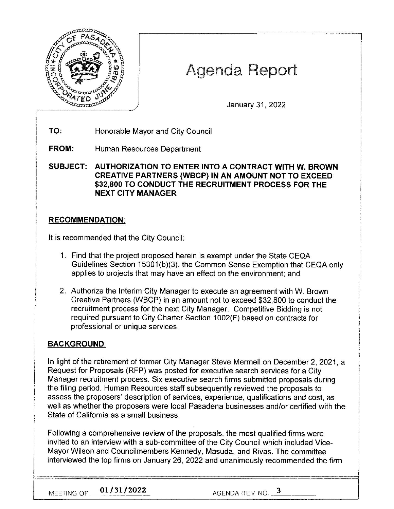

# Agenda Report

January 31, 2022

**TO:** Honorable Mayor and City Council

**FROM:** Human Resources Department

**SUBJECT: AUTHORIZATION TO ENTER INTO A CONTRACT WITH W. BROWN CREATIVE PARTNERS (WBCP) IN AN AMOUNT NOT TO EXCEED \$32,800 TO CONDUCT THE RECRUITMENT PROCESS FOR THE NEXT CITY MANAGER** 

### **RECOMMENDATION:**

It is recommended that the City Council:

- 1. Find that the project proposed herein is exempt under the State CEQA Guidelines Section 15301(b)(3), the Common Sense Exemption that CEQA only applies to projects that may have an effect on the environment; and
- 2. Authorize the Interim City Manager to execute an agreement with W. Brown Creative Partners (WBCP) in an amount not to exceed \$32,800 to conduct the recruitment process for the next City Manager. Competitive Bidding is not required pursuant to City Charter Section 1002(F) based on contracts for professional or unique services.

## **BACKGROUND:**

In light of the retirement of former City Manager Steve Mermell on December 2, 2021, a Request for Proposals (RFP) was posted for executive search services for a City Manager recruitment process. Six executive search firms submitted proposals during the filing period. Human Resources staff subsequently reviewed the proposals to assess the proposers' description of services, experience, qualifications and cost, as well as whether the proposers were local Pasadena businesses and/or certified with the State of California as a small business.

Following a comprehensive review of the proposals, the most qualified firms were invited to an interview with a sub-committee of the City Council which included Vice-Mayor Wilson and Councilmembers Kennedy, Masuda, and Rivas. The committee interviewed the top firms on January 26, 2022 and unanimously recommended the firm l:-,:., ~"' -~ <sup>=</sup> <sup>=</sup> <sup>=</sup> === ======================7

**MEETING OF <u>201/31/2022</u> AGENDA ITEM NO. 2** 

I